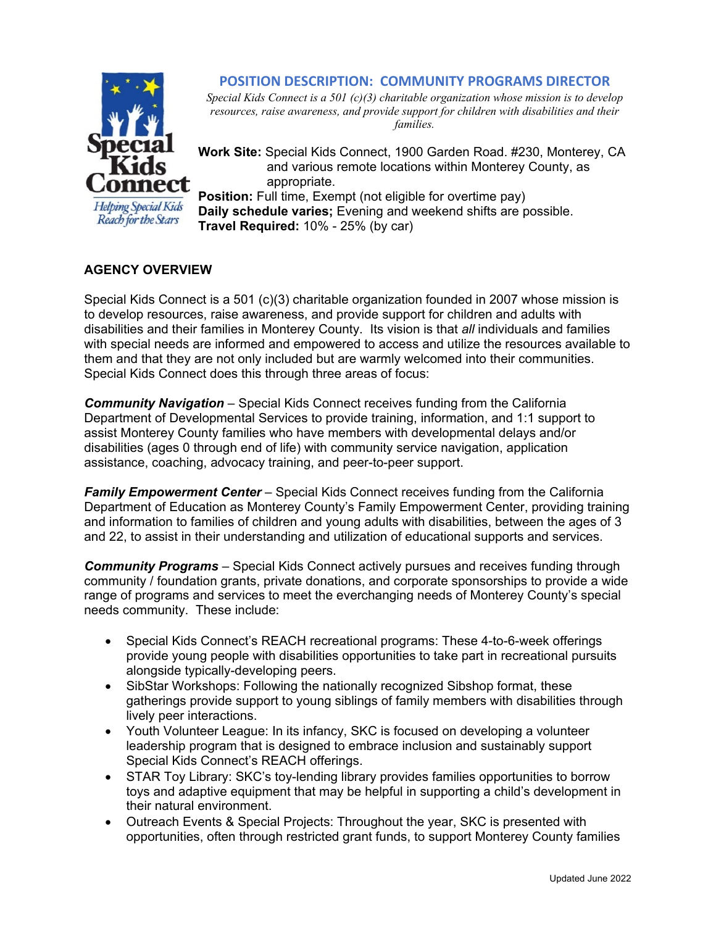## **POSITION DESCRIPTION: COMMUNITY PROGRAMS DIRECTOR**



*Special Kids Connect is a 501 (c)(3) charitable organization whose mission is to develop resources, raise awareness, and provide support for children with disabilities and their families.* 

**Work Site:** Special Kids Connect, 1900 Garden Road. #230, Monterey, CA and various remote locations within Monterey County, as appropriate.

**Helping Special Kids** Reach for the Stars

**Position:** Full time, Exempt (not eligible for overtime pay) **Daily schedule varies;** Evening and weekend shifts are possible. **Travel Required:** 10% - 25% (by car)

# **AGENCY OVERVIEW**

Special Kids Connect is a 501 (c)(3) charitable organization founded in 2007 whose mission is to develop resources, raise awareness, and provide support for children and adults with disabilities and their families in Monterey County. Its vision is that *all* individuals and families with special needs are informed and empowered to access and utilize the resources available to them and that they are not only included but are warmly welcomed into their communities. Special Kids Connect does this through three areas of focus:

*Community Navigation* – Special Kids Connect receives funding from the California Department of Developmental Services to provide training, information, and 1:1 support to assist Monterey County families who have members with developmental delays and/or disabilities (ages 0 through end of life) with community service navigation, application assistance, coaching, advocacy training, and peer-to-peer support.

*Family Empowerment Center* – Special Kids Connect receives funding from the California Department of Education as Monterey County's Family Empowerment Center, providing training and information to families of children and young adults with disabilities, between the ages of 3 and 22, to assist in their understanding and utilization of educational supports and services.

*Community Programs* – Special Kids Connect actively pursues and receives funding through community / foundation grants, private donations, and corporate sponsorships to provide a wide range of programs and services to meet the everchanging needs of Monterey County's special needs community. These include:

- Special Kids Connect's REACH recreational programs: These 4-to-6-week offerings provide young people with disabilities opportunities to take part in recreational pursuits alongside typically-developing peers.
- SibStar Workshops: Following the nationally recognized Sibshop format, these gatherings provide support to young siblings of family members with disabilities through lively peer interactions.
- Youth Volunteer League: In its infancy, SKC is focused on developing a volunteer leadership program that is designed to embrace inclusion and sustainably support Special Kids Connect's REACH offerings.
- STAR Toy Library: SKC's toy-lending library provides families opportunities to borrow toys and adaptive equipment that may be helpful in supporting a child's development in their natural environment.
- Outreach Events & Special Projects: Throughout the year, SKC is presented with opportunities, often through restricted grant funds, to support Monterey County families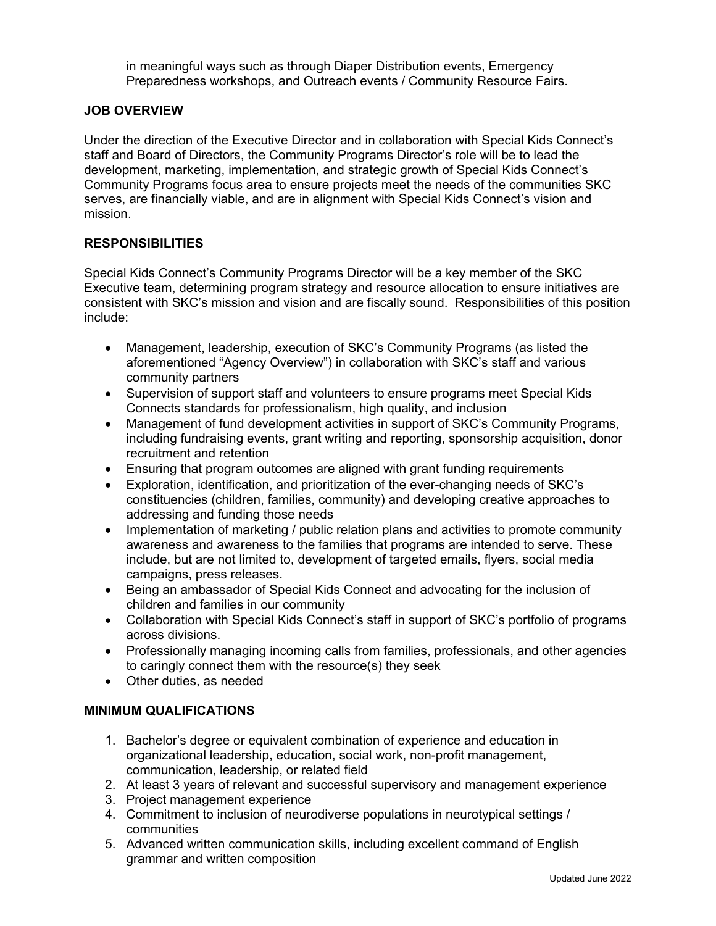in meaningful ways such as through Diaper Distribution events, Emergency Preparedness workshops, and Outreach events / Community Resource Fairs.

#### **JOB OVERVIEW**

Under the direction of the Executive Director and in collaboration with Special Kids Connect's staff and Board of Directors, the Community Programs Director's role will be to lead the development, marketing, implementation, and strategic growth of Special Kids Connect's Community Programs focus area to ensure projects meet the needs of the communities SKC serves, are financially viable, and are in alignment with Special Kids Connect's vision and mission.

## **RESPONSIBILITIES**

Special Kids Connect's Community Programs Director will be a key member of the SKC Executive team, determining program strategy and resource allocation to ensure initiatives are consistent with SKC's mission and vision and are fiscally sound. Responsibilities of this position include:

- Management, leadership, execution of SKC's Community Programs (as listed the aforementioned "Agency Overview") in collaboration with SKC's staff and various community partners
- Supervision of support staff and volunteers to ensure programs meet Special Kids Connects standards for professionalism, high quality, and inclusion
- Management of fund development activities in support of SKC's Community Programs, including fundraising events, grant writing and reporting, sponsorship acquisition, donor recruitment and retention
- Ensuring that program outcomes are aligned with grant funding requirements
- Exploration, identification, and prioritization of the ever-changing needs of SKC's constituencies (children, families, community) and developing creative approaches to addressing and funding those needs
- Implementation of marketing / public relation plans and activities to promote community awareness and awareness to the families that programs are intended to serve. These include, but are not limited to, development of targeted emails, flyers, social media campaigns, press releases.
- Being an ambassador of Special Kids Connect and advocating for the inclusion of children and families in our community
- Collaboration with Special Kids Connect's staff in support of SKC's portfolio of programs across divisions.
- Professionally managing incoming calls from families, professionals, and other agencies to caringly connect them with the resource(s) they seek
- Other duties, as needed

## **MINIMUM QUALIFICATIONS**

- 1. Bachelor's degree or equivalent combination of experience and education in organizational leadership, education, social work, non-profit management, communication, leadership, or related field
- 2. At least 3 years of relevant and successful supervisory and management experience
- 3. Project management experience
- 4. Commitment to inclusion of neurodiverse populations in neurotypical settings / communities
- 5. Advanced written communication skills, including excellent command of English grammar and written composition